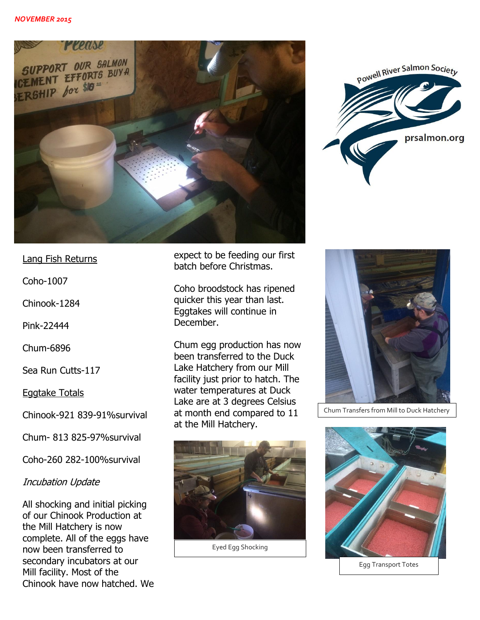



Lang Fish Returns

Coho-1007

Chinook-1284

Pink-22444

Chum-6896

Sea Run Cutts-117

Eggtake Totals

Chinook-921 839-91%survival

Chum- 813 825-97%survival

Coho-260 282-100%survival

## Incubation Update

All shocking and initial picking of our Chinook Production at the Mill Hatchery is now complete. All of the eggs have now been transferred to secondary incubators at our Mill facility. Most of the Chinook have now hatched. We expect to be feeding our first batch before Christmas.

Coho broodstock has ripened quicker this year than last. Eggtakes will continue in December.

Chum egg production has now been transferred to the Duck Lake Hatchery from our Mill facility just prior to hatch. The water temperatures at Duck Lake are at 3 degrees Celsius at month end compared to 11 at the Mill Hatchery.



Eyed Egg Shocking



Chum Transfers from Mill to Duck Hatchery



Egg Transport Totes